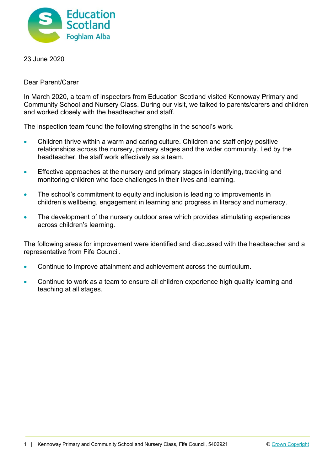

23 June 2020

Dear Parent/Carer

In March 2020, a team of inspectors from Education Scotland visited Kennoway Primary and Community School and Nursery Class. During our visit, we talked to parents/carers and children and worked closely with the headteacher and staff.

The inspection team found the following strengths in the school's work.

- Children thrive within a warm and caring culture. Children and staff enjoy positive relationships across the nursery, primary stages and the wider community. Led by the headteacher, the staff work effectively as a team.
- Effective approaches at the nursery and primary stages in identifying, tracking and monitoring children who face challenges in their lives and learning.
- The school's commitment to equity and inclusion is leading to improvements in children's wellbeing, engagement in learning and progress in literacy and numeracy.
- The development of the nursery outdoor area which provides stimulating experiences across children's learning.

The following areas for improvement were identified and discussed with the headteacher and a representative from Fife Council.

- Continue to improve attainment and achievement across the curriculum.
- Continue to work as a team to ensure all children experience high quality learning and teaching at all stages.